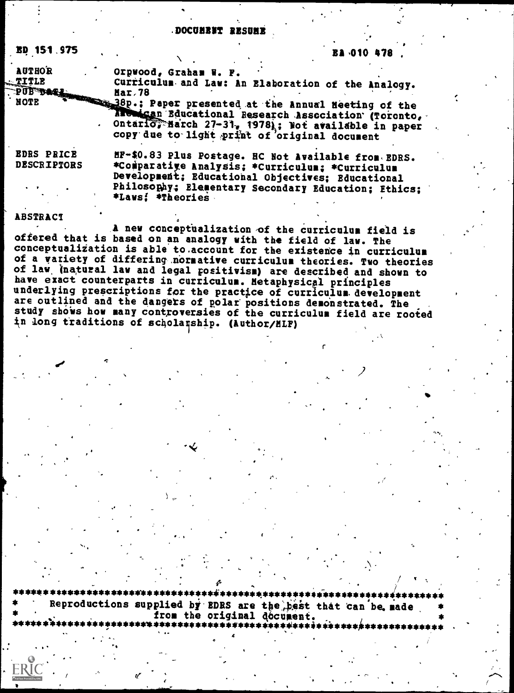### DOCUMBET RESUMB

6.76

| <b>AUTHOR</b>                           | Orpwood, Graham W. F.                                                                                                                                                                                                                                         |  |  |
|-----------------------------------------|---------------------------------------------------------------------------------------------------------------------------------------------------------------------------------------------------------------------------------------------------------------|--|--|
| <u> TITLE</u>                           | Curriculum and Law: An Blaboration of the Analogy.                                                                                                                                                                                                            |  |  |
|                                         | Mar.78<br>NOTE TANK 18 Mar.78<br>NOTE Report Free Paper presented at the Annual Heeting of the<br>Anonican Educational Research Association (Toronto,<br>Ontario, Harch 27-31, 1978); Not available in paper<br>copy due to light print of 'original document |  |  |
| <b>EDRS PRICE</b><br><b>DESCRIPTORS</b> | HF-\$0.83 Plus Postage. HC Not Available from BDRS.<br>*Comparatige Analysis; *Curriculum; *Curriculum<br>Development; Educational Objectives; Educational                                                                                                    |  |  |
|                                         | Philosophy; Elementary Secondary Education; Ethics;<br>*Laws! *Theories                                                                                                                                                                                       |  |  |

### **ABSTRACT**

**ED 151 975** 

A new conceptualization of the curriculum field is offered that is based on an analogy with the field of law. The conceptualization is able to account for the existence in curriculum of a variety of differing normative curriculum theories. Two theories of law (natural law and legal positivism) are described and shown to have exact counterparts in curriculum. Metaphysical principles underlying prescriptions for the practice of curriculum development are outlined and the dangers of polar positions demonstrated. The study shows how many controversies of the curriculum field are rooted in long traditions of scholarship. (Author/HLF)

Reproductions supplied by EDRS are the best that can be made from the original document.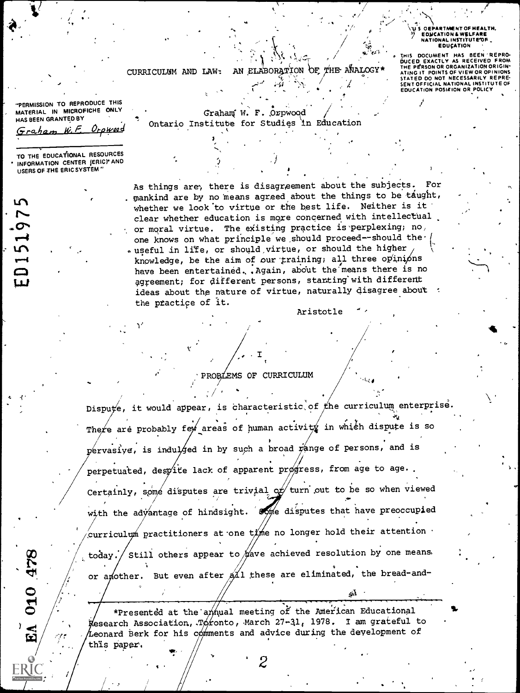S OFPARTMENT OF HEALTH. EDUCATION & WELFARE<br>NATIONAL INSTITUTE OF **EDUCATION** THIS DOCUMENT HAS BEEN REPRO-<br>DUCED EXACTLY AS RECEIVED FROM<br>THE PERSON OR ORGANIZATION ORIGINI<br>ATING IT POINTS OF VIEW OR OPINIONS<br>STATED DO NOT NECESSARILY REPRE-<br>SENT OFFICIAL NATIONAL INSTITUTE OF

EDUCATION POSITION OR POLICY

AN ELABORATION OF THE ANALOGY\* CURRICULUM AND LAW:

PERMISSION TO REPRODUCE THIS MATERIAL IN MICROFICHE ONLY HAS BEEN GRANTED BY

 $O_{LQWQQ}$ 

Graham W.F.

ED151975

**945 010** 

 $\tilde{\mathbf{E}}$ 

Graham W. F. Orpwood Ontario Institute for Studies in Education

TO THE EDUCATIONAL RESOURCES INFORMATION CENTER (ERIC)\* AND USERS OF THE ERIC SYSTEM"

> As things are, there is disagreement about the subjects. mankind are by no means agreed about the things to be taught, whether we look to virtue or the best life. Neither is it clear whether education is more concerned with intellectual or moral virtue. The existing practice is perplexing; no, one knows on what principle we should proceed--should the. a useful in life, or should virtue, or should the higher knowledge, be the aim of our training; all three opinions have been entertained. . Again, about the means there is no agreement; for different persons, stanting with different ideas about the nature of virtue, naturally disagree about : the practice of it.

> > Aristotle

PROBLEMS OF CURRICULUM

Dispute, it would appear, is characteristic of the curriculum enterprise. There are probably few areas of human activity in which dispute is so pervasive, is indulged in by such a broad range of persons, and is perpetuated, despite lack of apparent progress, from age to age.. Certainly, some disputes are trivial or turn out to be so when viewed with the advantage of hindsight. Some disputes that have preoccupied curriculum practitioners at one time no longer hold their attention  $\cdot$ Still others appear to  $\not$  ave achieved resolution by one means. today. or apother. But even after all these are eliminated, the bread-and-

\*Presented at the annual meeting of the American Educational Kesearch Association, Toronto, March 27-31, 1978. I am grateful to Leonard berk for his comments and advice during the development of this paper.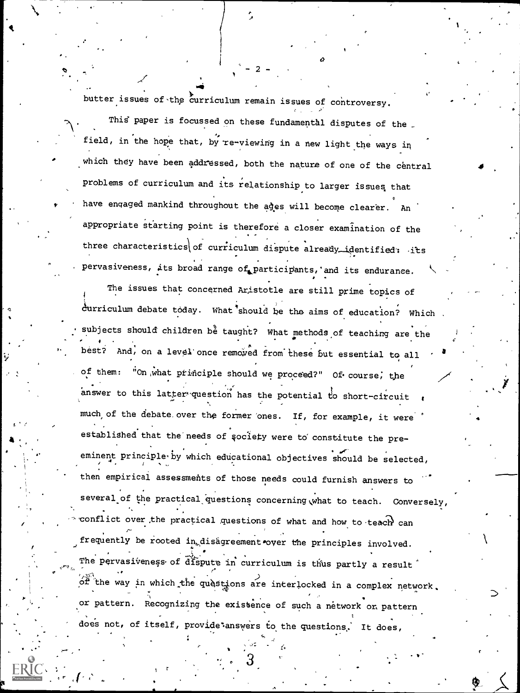butter issues of the curriculum remain issues of controversy.

 $\blacksquare$ 

7

This paper is focussed on these fundamental disputes of the \_ field, in the hope that, by re-viewing in a new light the ways in which they have been addressed, both the nature of one of the central problems of curriculum and its relationship to larger issues that have engaged mankind throughout the ages will become clearer. An appropriate starting point is therefore a closer examination of the three characteristics of curriculum dispute already identified:  $its$ pervasiveness, its broad range of participants, and its endurance.

 $-2 - 4$ 

The issues that concerned Azistotle are still prime topics of ä. durriculum debate today. What should be the aims of education? Which subjects should children be taught? What methods of teaching are the And, on a level once removed from these but essential to all of them: "On what principle should we proceed?" Of course, the answer to this latter-question has the potential to short-circuit a $\sqrt{2}$  values of  $\frac{1}{2}$ much of the debate over the former ones. If, for example, it were established that the'needs of society were to' constitute the preeminent principle by which educational objectives should be selected, then empirical assessments of those needs could furnish answers to several of the practical questions concerning what to teach. Conversely, conflict over the practical questions of what and how to teach can frequently be rooted in disagreement over the principles involved. The pervasiveness of dispute in curriculum is thus partly a result i ,  $\phi \hat{f}$  the way in which the quast ins are interlocked in a complex network, , ... or pattern. Recognizing the existence of such a network on pattern does not, of itself, provide: answers to the questions. It does,

4

t.

 $3 \rightarrow$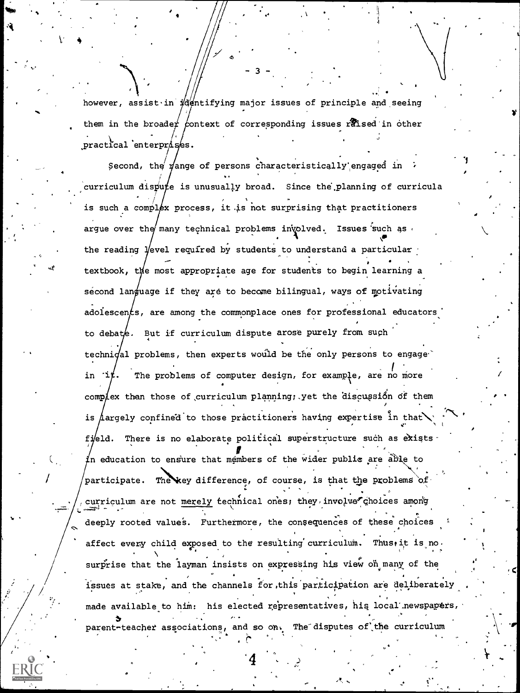however, assist in identifying major issues of principle and seeing them in the broader context of corresponding issues raised in other practical enterprises.

Second, the vange of persons characteristically engaged in curriculum dispute is unusually broad. Since the planning of curricula is such a complex process, it is not surprising that practitioners argue over the many technical problems involved. Issues such as the reading Vevel required by students to understand a particular textbook, the most appropriate age for students to begin learning a second language if they are to become bilingual, ways of motivating adolescents, are among the commonplace ones for professional educators to debate. But if curriculum dispute arose purely from such technioal problems, then experts would be the only persons to engage in  $i$ t. The problems of computer design, for example, are no more complex than those of curriculum planning; yet the discussion of them is  $\Lambda$ argely confined to those practitioners having expertise in that fi/eld. There is no elaborate political superstructure such as exists In education to ensure that members of the wider public are able to participate. The key difference, of course, is that the problems of curriculum are not merely technical ones; they involve choices among deeply rooted values. Furthermore, the consequences of these choices affect every child exposed to the resulting curriculum. Thus, it is no. surprise that the layman insists on expressing his view on many of the issues at stake, and the channels for this participation are deliberately made available to him: his elected representatives, his local newspapers, parent-teacher associations, and so on. The disputes of the curriculum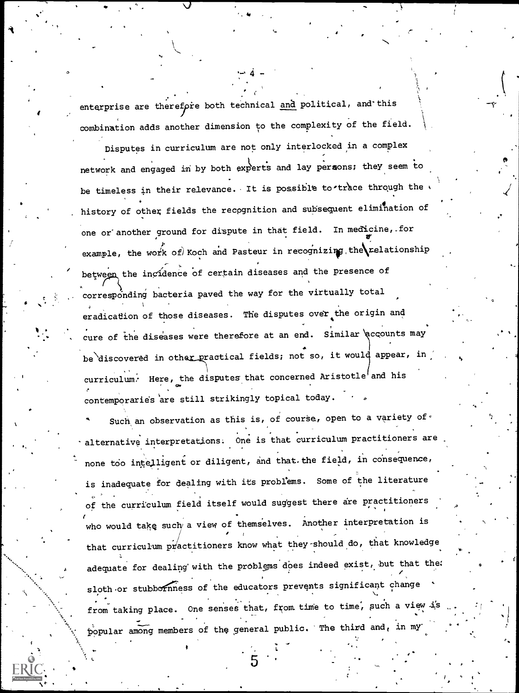enterprise are therefore both technical and political, and this combination adds another dimension to the complexity of the field.

4

 $\sim$ 

 $\sqrt{1-\lambda}$ 

 $\bullet$  0.000  $\bullet$ 

u ji

Disputes in curriculum are not only interlocked in a complex network and engaged in by both experts and lay persons; they seem to be timeless in their relevance. It is possible to trace through the history of other fields the recognition and subsequent elimination of one or another ground for dispute in that field. In medicine, for example, the work of  $k$  koch and Pasteur in recognizing the relationship between the incidence of certain diseases and the presence of corresponding bacteria paved the way for the virtually total eradication of those diseases. The disputes over the origin and cure of the diseases were therefore at an end. Similar accounts may be discovered in other practical fields; not so, it would appear, in  $currium$ . Here, the disputes that concerned Aristotle and his contemporaries are still strikingly topical today.

Such an observation as this is, of course, open to a variety of  $\cdot$ alternative interpretations. One is that curriculum practitioners are none too intelligent or diligent, and that. the field, in consequence, is inadequate for dealing with its problems. Some of the literature of the curriculum field itself would suggest there are practitioners who would take such a view of themselves. Another interpretation is that curriculum  $p \nmid a$  actitioners know what they-should do, that knowledge adequate for dealing with the problems does indeed exist, but that the: sloth or stubbornness of the educators prevents significant change from taking place. One senses that, from time to time, such a view is well popular among members of the general public. The third and, in my

I

 $\overline{\phantom{a}}$ 

51.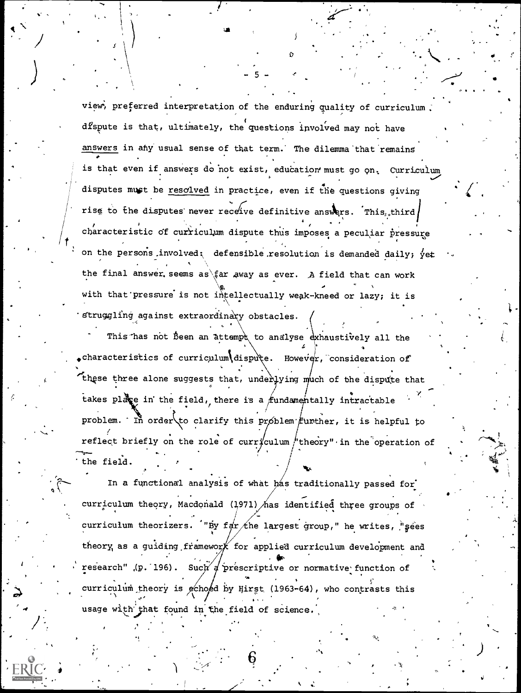view, preferred interpretation of the enduring quality of curriculum dfspute is that, ultimately, the questions involved may not have answers in any usual sense of that term. The dilemma that remains is that even if answers do not exist, education must go on. Curriculum  $\frac{1}{2}$  disputes must be resolved in practice, even if the questions giving rise to the disputes never receive definitive answers. This, third characteristic of curriculum dispute thus imposes a peculiar pressure on the persons involved; defensible resolution is demanded daily; yet the final answer, seems as  $\frac{2}{\pi}$  away as ever. A field that can work with that pressure is not intellectually weak-kneed or lazy; it is struggling against extraordinary obstacles.

 $-5$  -  $\sim$   $\sim$ 

 $\boldsymbol{\omega}$  and  $\boldsymbol{\omega}$ 

 $\blacksquare$ 

1. Contract 1980

This has not been an attempt to analyse exhaustively all the  $2 \frac{1}{2}$ .characteristics of curriculum dispute. However, consideration of these three alone suggests that, underlying much of the dispute that  $\gamma$   $\sim$ takes place in the field, there is a fundamentally intractable problem. In order to clarify this problem funther, it is helpful to reflect briefly on the role of curryculum theory" in the operation of  $-$  . The set of the set of the set of the set of the set of the set of the set of the set of the set of the set of the set of the set of the set of the set of the set of the set of the set of the set of the set of the se . , i the field.

In a functional analysis of what has traditionally passed for curriculum theory, Macdonald (1971) has identified three groups of curriculum theorizers. "By far the largest group," he writes, "sees theory, as a guiding framework for applied curriculum development and research" (p. 196). Such a prescriptive or normative function of . curriculum theory is echoed by Hirst (1963-64), who contrasts this  $\mathcal{N}$  . The set of the set of the set of the set of the set of the set of the set of the set of the set of the set of the set of the set of the set of the set of the set of the set of the set of the set of the set of t usage with that found in the field of science.

 $\rightarrow$ 

,

 $\bullet$  International contract  $\bullet$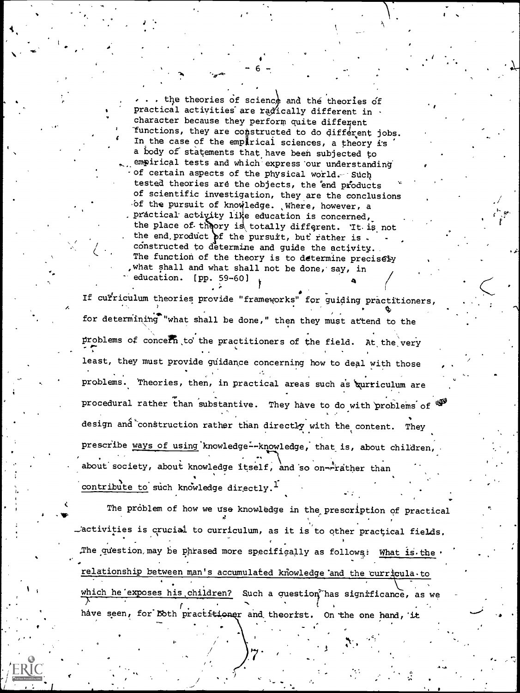... the theories of science and the theories of practical activities are radically different in. character because they perform quite different Tunctions, they are constructed to do different jobs. In the case of the emparical sciences, a theory is a body of statements that have been subjected to empirical tests and which express our understanding of certain aspects of the physical world. Such tested theories are the objects, the end products of scientific investigation, they are the conclusions of the pursuit of knowledge. Where, however, a practical activity like education is concerned, the place of theory is totally different. It is not the end product of the pursuit, but rather is. constructed to determine and guide the activity. The function of the theory is to determine precisely , what shall and what shall not be done, say, in education. [pp. 59-60]

If curriculum theories provide "frameworks" for guiding practitioners, for determining "what shall be done," then they must attend to the problems of concern to the practitioners of the field. At the very least, they must provide guidance concerning how to deal with those problems. Theories, then, in practical areas such as gurriculum are procedural rather than substantive. They have to do with problems of  $*$ design and construction rather than directly with the content. They prescribe ways of using knowledge--knowledge, that is, about children, about society, about knowledge itself, and so on-ritather than contribute to such knowledge directly.<sup>1</sup>

The problem of how we use knowledge in the prescription of practical Lactivities is crucial to curriculum, as it is to other practical fields. The question may be phrased more specifically as follows: What is the relationship between man's accumulated knowledge and the curricula to which he exposes his children? Such a question has significance, as we have seen, for Doth practitioner and theorist. On the one hand, it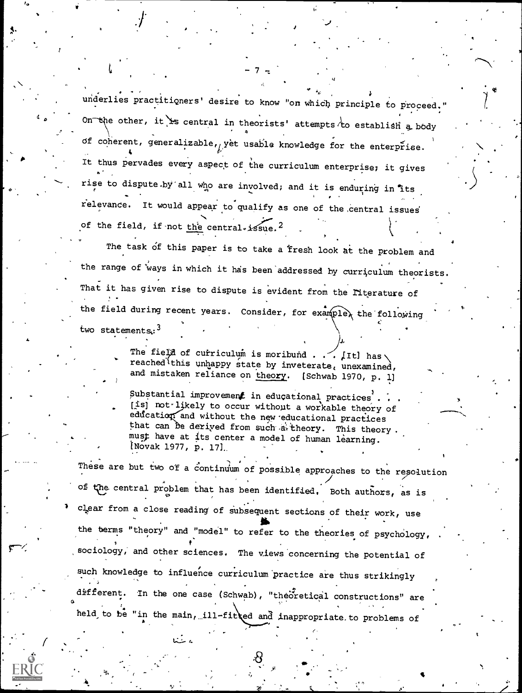$\text{underlies}$  practitioners' desire to know "on which principle to proceed." On the other, it is central in theorists' attempts to establish a body  $\cdots$ of coherent, generalizable, yet usable knowledge for the enterprise. It thus pervades every aspect of the curriculum enterprise; it gives  $\sim$  , rise to dispute by all who are involved; and it is enduring in its relevance. It would appear to qualify as one of the central issues of the field, if not the central-issue.<sup>2</sup>

q

The task of this paper is to take a fresh look at the problem and the range of ways in which it has been addressed by curriculum theorists. That it has given rise to dispute is evident from the Fiterature of : the field during recent years. Consider, for example<sub>r</sub> the following  $\qquad \qquad \, \cdot$ 

two statements:  $3$ 

 $\mathcal{A}$  and  $\mathcal{A}$ 

The field of cuiriculum is moribund . .  $\sim$  [It] has reached this unhappy state by inveterate, unexamined, and mistaken reliance on theory. [Schwab 1970, p. 1]

Substantial improvement in educational practices'  $[1s]$  not-likely to occur without a workable theory of eddcation and without the new educational practices that can be derived from such a theory. This theory. must have at its center a model of human learning. Novak 1977, p. 17]..

These are but two of a continuum of possible approaches to the resolution of the central problem that has been identified. Both authors, as is clpar from a close reading of Subsequent sections of their work, use the berms "theory" and "model" to refer to the theories of psychology, sociology, and other sciences. The views concerning the potential of such knowledge to influence curriculum practice are thus strikingly . 5 different. In the one case (Schwab), "theoretical constructions" are held to be "in the main, ill-fitted and inappropriate to problems of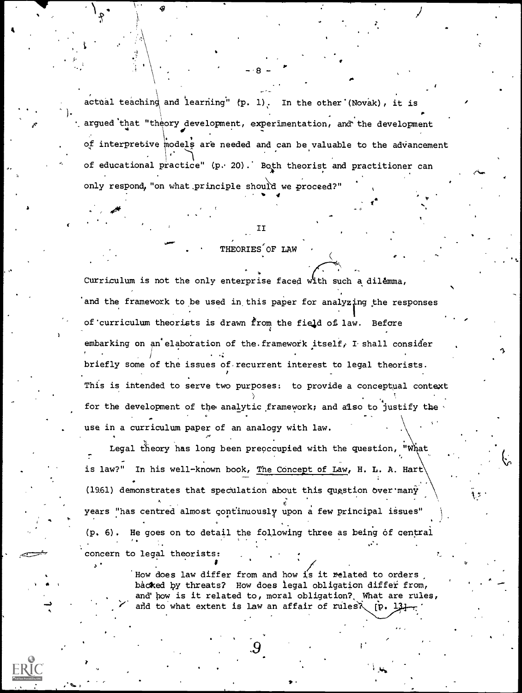actual teaching and learning" (p. 1). In the other (Novak), it is decay of that "theory development, experimentation, and the development"<br>in argued that "theory development, experimentation, and the development" of interpretive models are needed and can be valuable to the advancement of educational practice" (p. 20). Both theorist and practitioner can only respond, "on what principle should we proceed?" , and the contract of the contract of  $\mathcal{A}$ 

 $-8 - 7$ 

 $\mathcal{F}$  and  $\mathcal{F}$ 

.1

4

1 **. .** . .

-4

**TT** 

#### THEORIES OF LAW

Curriculum is not the only enterprise faced with such a dilemma, and the framework to be used in this paper for analyzing the responses of curriculum theorists is drawn from the field of law. Before 4 embarking on an'elaboration of the framework itself, I shall consider briefly some of the issues of. recurrent interest to legal theorists. This is intended to serve two purposes: to provide a conceptual context for the development of the analytic framework; and also to justify the use in a curriculum paper of an analogy with law.

Legal theory has long been preoccupied with the question, "What is law?" In his well-known book, The Concept of Law, H. L. A. Hart (1961) demonstrates that speculation about this question over many years "has centred almost continuously upon a few principal issues" In the contribution of the contribution of the contribution of the contribution of the contribution of the contribution of the contribution of the contribution of the contribution of the contribution of the contribution o  $(p. 6)$ . He goes on to detail the following three as being of central . The contract of the contract of the contract of the contract of the contract of the contract of the contract of the contract of the contract of the contract of the contract of the contract of the contract of the contrac concern to legal theorists:

.

 $\mathbf{v}$  and a set of the set of the set of the set of the set of the set of the set of the set of the set of the set of the set of the set of the set of the set of the set of the set of the set of the set of the set of t

lf How does law differ from and how is it related to orders backed by threats? How does legal obligation differ from, and' how is it related to, moral obligation? What are rules, and to what extent is law an affair of rules  $\lambda$  [p. 131]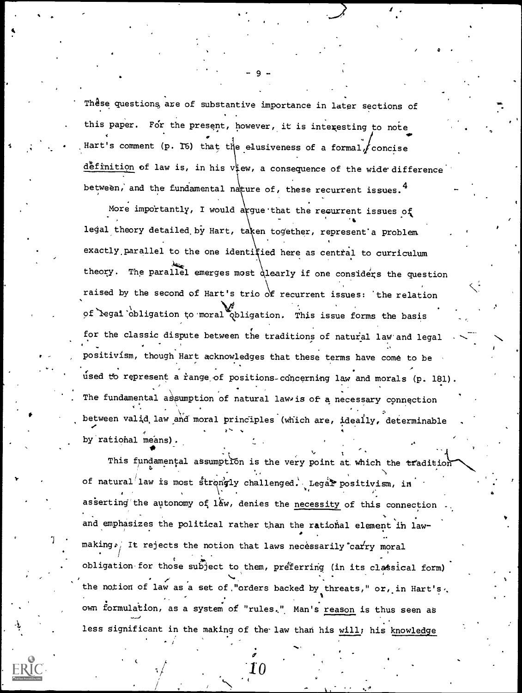These questions are of substantive importance in later sections of this paper. For the present, however, it is interesting to note Hart's comment (p. 16) that the elusiveness of a formal  $f$  concise definition of law is, in his view, a consequence of the wide difference between, and the fundamental nature of, these recurrent issues.<sup>4</sup>

More importantly, I would argue that the recurrent issues of legal theory detailed by Hart, taken together, represent a problem exactly parallel to the one identified here as central to curriculum theory. The parallel emerges most qlearly if one considers the question raised by the second of Hart's trio of recurrent issues: the relation of legal obligation to moral philigation. This issue forms the basis for the classic dispute between the traditions of natural law and legal positivísm, though Hart acknowledges that these terms have come to be used to represent a range of positions-concerning law and morals (p. 181). The fundamental assumption of natural law is of a necessary connection between valid law and moral principles (which are, ideally, determinable by rational means).

This fundamental assumption is the very point at which the tradition of natural law is most strongly challenged. Legal positivism, in asserting the autonomy of law, denies the necessity of this connection and emphasizes the political rather than the rational element in lawmaking. It rejects the notion that laws necessarily carry moral obligation for those subject to them, preferring (in its classical form) the notion of law as a set of "orders backed by threats," or, in Hart's. own formulation, as a system of "rules." Man's reason is thus seen as less significant in the making of the law than his will; his knowledge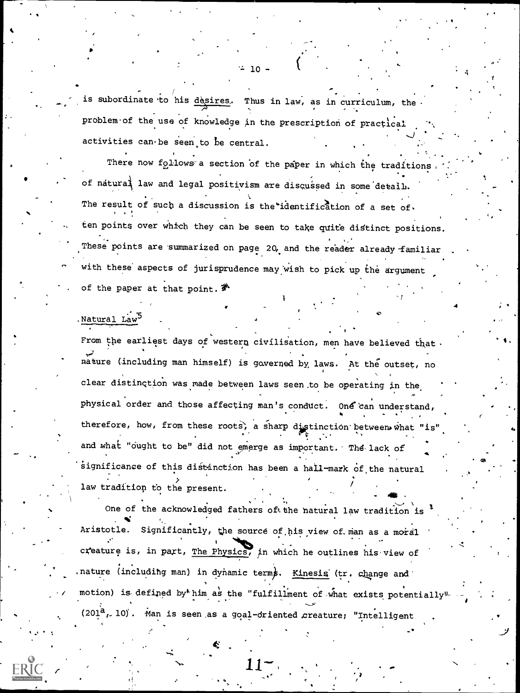is subordinate to his desires. Thus in law, as in curriculum, the problem of the use of knowledge in the prescription of practical activities can be seen to be central.

10-

There now follows a section of the paper in which the traditions.  $\cdot$ of natura $\frac{1}{4}$  law and legal positivism are discussed in some detail. The result of such a discussion is the identification of a set of ten points over which they can be seen to take quite distinct positions. These points are summarized on page 20, and the reader already familiar with these aspects of jurisprudence may wish to pick up the argument of the paper at that point.

.1

11 - Jan 1910<br>1911 - Jan 1910 - Jan 1910 - Jan 1910 - Jan 1910 - Jan 1910 - Jan 1910 - Jan 1910 - Jan 1910 - Jan 1910 - Jan<br>1911 - Jan 1910 - Jan 1910 - Jan 1920 - Jan 1920 - Jan 1920 - Jan 1920 - Jan 1920 - Jan 1920 - Jan

 $\sim$ 

-

Natural Law

From the earliest days of western civilisation, men have believed that. nature including man himself) is governed by, laws. At the outset, no clear distingtion was made between laws seen.to be operating in the physical order and those affecting man's conduct. One can understand, therefore, how, from these roots, a sharp distinction between what "is" and what "ought to be" did not emerge as important. The lack of significance of this distinction has been a hall-mark of the natural law tradition to the present.  $\mathcal{A} = \mathcal{A} \cup \mathcal{A} \cup \mathcal{A} \cup \mathcal{A} \cup \mathcal{A} \cup \mathcal{A} \cup \mathcal{A} \cup \mathcal{A} \cup \mathcal{A} \cup \mathcal{A} \cup \mathcal{A} \cup \mathcal{A} \cup \mathcal{A} \cup \mathcal{A} \cup \mathcal{A} \cup \mathcal{A} \cup \mathcal{A} \cup \mathcal{A} \cup \mathcal{A} \cup \mathcal{A} \cup \mathcal{A} \cup \mathcal{A} \cup \mathcal{A} \cup \mathcal{A} \cup \mathcal{A} \cup \mathcal{A} \cup \mathcal{A$ 

One of the acknowledged fathers of the natural law tradition is  $\mathbf{i}$ Aristotle. Significantly, the source of his view of man as a moral . . creature is, in part, The Physics, in which he outlines his'view of nature (including man) in dynamic terms. Kinesis (tr. change and motion) is defined by him as the "fulfillment of what exists potentially"  $(201<sup>a</sup>, 10)$ . Man is seen as a goal-driented creature; "Intelligent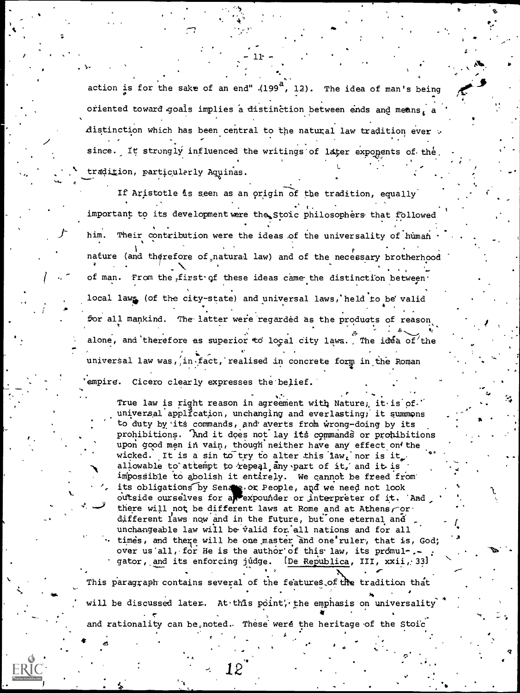action is for the sake of an end" (199<sup>8</sup>, 12). The idea of man's being oriented toward goals implies a distinction between ends and means, a distinction which has been central to the natural law tradition ever . since. It strongly influenced the writings of later exponents of the. tradition, particularly Aquinas.

 $11 -$ 

If Aristotle is seen as an origin of the tradition, equally important to its development were the stoic philosophers that followed him. Their contribution were the ideas of the universality of human nature (and therefore of natural law) and of the necessary brotherhood of man. From the first of these ideas came the distinction between. local laws (of the city-state) and universal laws, held to be valid for all mankind. The latter were regarded as the products of reason alone, and therefore as superior to local city laws. The idea of the universal law was, in fact, realised in concrete form in the Roman empire. Cicero clearly expresses the belief.

True law is right reason in agreement with Nature, it is of. universal application, unchanging and everlasting, it summons to duty by its commands, and averts from wrong-doing by its prohibitions. And it does not lay its commands or prohibitions upon good men in vain, though neither have any effect on the wicked. It is a sin to try to alter this law, nor is it. allowable to attempt to repeal any part of it, and it is impossible to abolish it entirely. We cannot be freed from its obligations by Sender ox People, and we need not look outside ourselves for a rexpounder or interpreter of it. And there will not be different laws at Rome and at Athens or. different laws now and in the future, but one eternal and unchangeable law will be valid for all nations and for all times, and there will be one master and one ruler, that is, God; over us all, for He is the author of this law, its promul-.gator, and its enforcing judge. [De Republica, III, xxii, 33] This paragraph contains several of the features of the tradition that

will be discussed later. At this point, the emphasis on universality and rationality can be noted. These were the heritage of the Stoic

12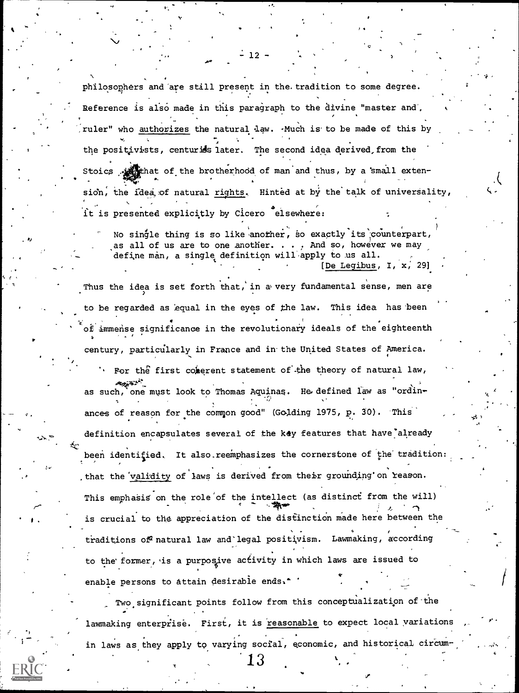philosophers and 'are still present in the. tradition to some degree. Reference is also made in this paragraph to the divine "master and, ruler" who authorizes the natural law.  $\cdot$ Much is to be made of this by the positivists, centuriss  $1$ ater. The second idea derived, from the Stoics withat of the brotherhood of man and thus, by a small extension, the idea of natural rights. Hinted at by the talk of universality,  $\bullet$  +  $\bullet$ it is presented explicitly by Cicero elsewhere:

No single thing is so like another, so exactly its counterpart, as all of us are to one another.  $\ldots$  and so, however we may define man, a single definition will apply to us all. . [De Legibus, I, x; 29)

-

Rj

 $\sqrt{f(x)}$ 

Thus the idea is set forth that, in avery fundamental sense, men are to be regarded as equal in the eyes of the law. This idea has been of immense significance in the revolutionary ideals of the eighteenth century, particularly in France and in-the United States of America. For the first conserent statement of the theory of natural law, .13 as such, one must look to Thomas Aquinas. He defined law as "ordinances of reason for the common good" (Golding 1975, p. 30). This definition encapsulates several of the key features that have already been identified. It also reemphasizes the cornerstone of the tradition that the validity of laws is derived from their grounding on reason. This emphasis on the role of the intellect (as distinct from the will) . . is crucial to the appreciation of the distinction made here between the traditions of natural law and legal positivism. Lawmaking, according to the former, is a purposive activity in which laws are issued to enable persons to attain desirable ends.<sup>\*</sup>

1 . Two significant points follow from this conceptualization of the lawmaking enterprise. First, it is reasonable to expect local variations in laws as they apply to varying social, economic, and historical circum-

 $\boldsymbol{r}$  .

 $12$ 

1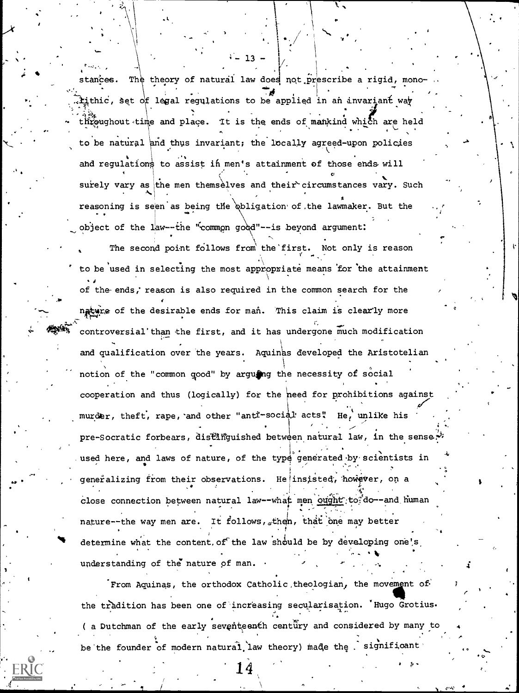stances. The theory of natural law does not prescribe a rigid, monotithic, set of legal regulations to be applied in an invariant way throughout time and place. It is the ends of mankind which are held to be natural and thus invariant; the locally agreed-upon policies and requlations to assist in men's attainment of those ends will surely vary as the men themselves and their circumstances vary. Such reasoning is seen as being the obligation of the lawmaker. But the object of the law--the "common good"--is beyond argument:

 $-13$ 

The second point follows from the first. Not only is reason to be used in selecting the most appropriate means for the attainment of the ends, reason is also required in the common search for the nature of the desirable ends for man. This claim is clearly more controversial'than the first, and it has undergone much modification and qualification over the years. Aquinas developed the Aristotelian notion of the "common good" by arguing the necessity of social cooperation and thus (logically) for the need for prohibitions against murder, theft, rape, and other "ant -social acts" He, unlike his pre-Socratic forbears, distinguished between natural law, in the sense. used here, and laws of nature, of the type generated by scientists in generalizing from their observations. He insisted, however, on a close connection between natural law--what men ought to do--and human nature--the way men are. It follows, then, that one may better determine what the content of the law should be by developing one's understanding of the nature of man.

From Aquinas, the orthodox Catholic theologian, the movement of the tradition has been one of increasing secularisation. 'Hugo Grotius. ( a Dutchman of the early seventeenth century and considered by many to be the founder of modern natural law theory) made the significant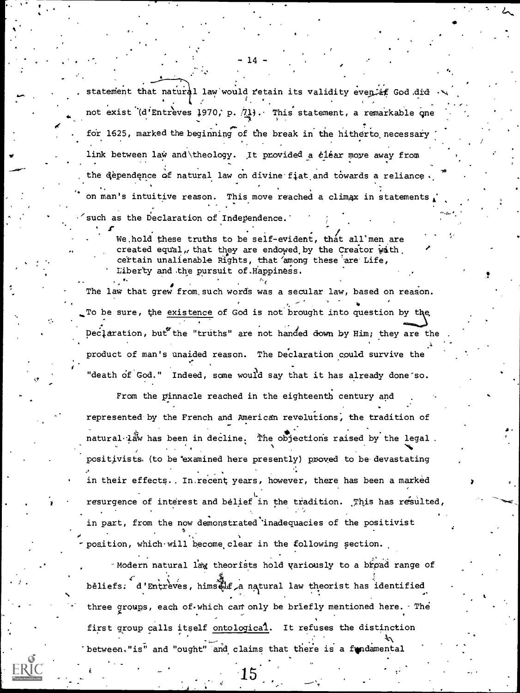statement that natural law would retain its validity even if God did not exist (d'Entreves 1970, p. 71). This statement, a remarkable one for 1625, marked the beginning of the break in the hitherto necessary link between law and theology. It provided a clear moye away from the dependence of natural law on divine fiat and towards a reliance on man's intuitive reason. This move reached a climax in statements

such as the Declaration of Independence.

We hold these truths to be self-evident, that all men are created equal, that they are endowed by the Creator wath certain unalienable Rights, that among these are Life, Liberty and the pursuit of Happiness.

The law that grew from such words was a secular law, based on reason. To be sure, the existence of God is not brought into question by the Declaration, but the "truths" are not handed down by Him; they are the product of man's unaided reason. The Declaration could survive the "death of God." Indeed, some would say that it has already done'so.

From the pinnacle reached in the eighteenth century and represented by the French and American revolutions, the tradition of natural law has been in decline. The objections raised by the legal. positivists. (to be examined here presently) proved to be devastating in their effects.. In recent years, however, there has been a marked resurgence of interest and belief in the tradition. This has resulted, in part, from the now demonstrated inadequacies of the positivist position, which will become clear in the following section.

-Modern natural law theorists hold variously to a broad range of beliefs. d'Entreves, himself a natural law theorist has identified three groups, each of which can only be briefly mentioned here. The first group calls itself ontological. It refuses the distinction between."is" and "ought" and claims that there is a fundamental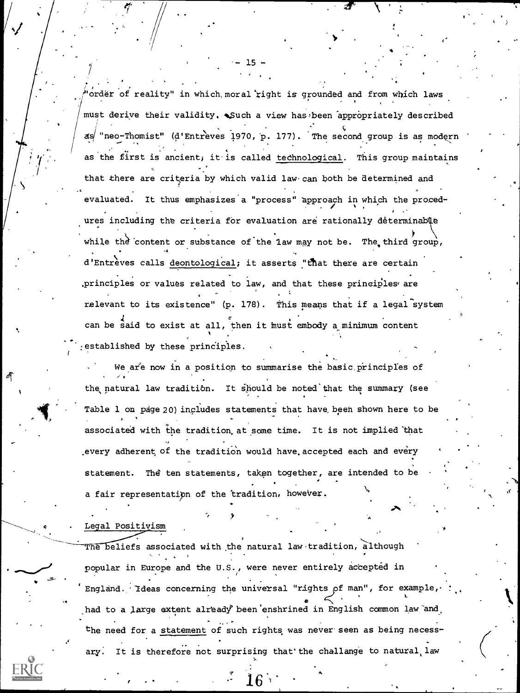"order of reality" in which, moral right is grounded and from which laws must derive their validity. Such a view has been appropriately described  $as'$  "neo-Thomist" (d'Entreves 1970, p. 177). The second group is as modern as the first is ancient; it is called technological. This group maintains that there are criteria by which valid law can both be determined and evaluated. It thus emphasizes a "process" approach in which the procedures including the criteria for evaluation are rationally determinable while the content or substance of the law may not be. The third group, .. . , d'Entrèves calls deontological; it asserts "that there are certain ,principles or values related to law, and that these principles are relevant to its existence" (p. 178). This means that if a legal<sup>-</sup>system can be said to exist at all, then it must embody a minimum content established by these principles.

We are now in a position to summarise the basic principles of the natural law tradition. It should be noted that the summary (see Table 1 on page 20) includes statements that have been shown here to be associated with the tradition,at some time. It is not implied that every adherent of the tradition would have accepted each and every statement. The ten statements, taken together, are intended to be a fair representatipn of the 'tradition, however.

#### Legal Positivism

The beliefs associated with the natural law tradition, although . ' popular in Europe and the U.S., were never entirely accepted in England. Ideas concerning the universal "rights of man", for example, had to a large extent already been enshrined in English common law and the need for a statement of such rights was never seen as being necess- $\ddot{\phantom{0}}$ ary. It is therefore not surprising that'the challange to natural law

 $\boldsymbol{\rho}$  .

 $15 -$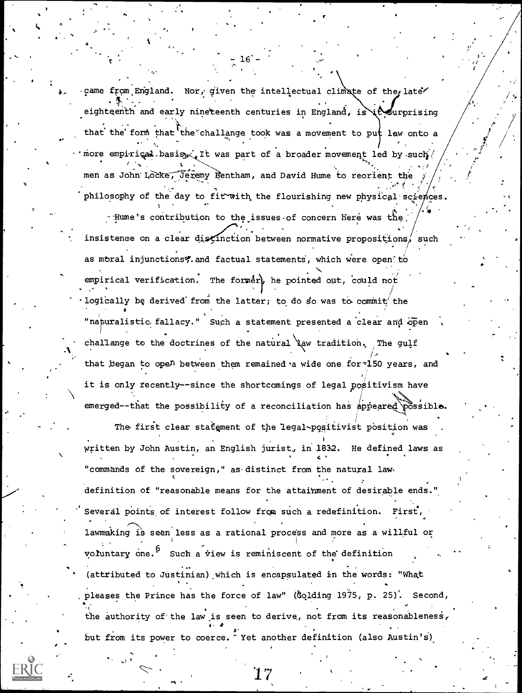came from England. Nor, given the intellectual climate of the late eighteenth and early nineteenth centuries in England, is it surprising that the form that the challange took was a movement to put law onto a 'more empirical basis it was part of a broader movement led by such men as John Locke, Jeremy Bentham, and David Hume to reorient the philosophy of the day to fit with the flourishing new physical sciences. - Hume's contribution to the issues of concern here was the insistence on a clear distinction between normative propositions, such as moral injunctions? and factual statements, which were open to empirical verification. The former, he pointed out, could not logically be derived from the latter; to do so was to commit' the "naturalistic fallacy." Such a statement presented a clear and open challange to the doctrines of the natural law tradition. The gulf that began to open between them remained a wide one for 150 years, and it is only recently--since the shortcomings of legal positivism have emerged--that the possibility of a reconciliation has appeared possible.

The first clear statement of the legal-positivist position was written by John Austin, an English jurist, in 1832. He defined laws as "commands of the sovereign," as distinct from the natural lawdefinition of "reasonable means for the attainment of desirable ends." Several points of interest follow from such a redefinition. First, lawmaking is seen less as a rational process and more as a willful or voluntary one.<sup>b</sup> Such a view is reminiscent of the definition (attributed to Justinian) which is encapsulated in the words: "What pleases the Prince has the force of law" (Golding 1975, p. 25). Second, the authority of the law is seen to derive, not from its reasonableness, but from its power to coerce. Yet another definition (also Austin's)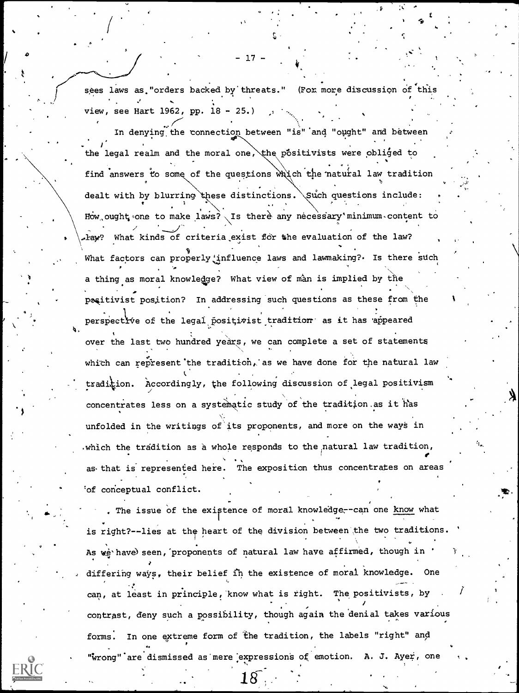sees laws as "orders backed by threats." (For more discussion of this view, see Hart 1962, pp. 18 - 25.)

 $17 -$ 

In denying the connection between "is" and "ought" and between the legal realm and the moral one, the positivists were obliged to find answers to some of the questions which the natural law tradition dealt with by blurring these distinctions. Such questions include: How ought one to make laws? Is there any necessary minimum content to haw? What kinds of criteria exist for the evaluation of the law? What factors can properly influence laws and lawmaking?. Is there such a thing as moral knowledge? What view of man is implied by the positivist position? In addressing such questions as these from the perspective of the legal positivist tradition as it has appeared over the last two hundred years, we can complete a set of statements which can represent the tradition, as we have done for the natural law tradition. Accordingly, the following discussion of legal positivism concentrates less on a systematic study of the tradition as it has unfolded in the writings of its proponents, and more on the ways in which the tradition as a whole responds to the natural law tradition, as that is represented here. The exposition thus concentrates on areas 'of conceptual conflict.

The issue of the existence of moral knowledge--can one know what is right?--lies at the heart of the division between the two traditions As we have seen, proponents of natural law have affirmed, though in differing ways, their belief in the existence of moral knowledge. One can, at least in principle, know what is right. The positivists, by contrast, deny such a possibility, though again the denial takes various In one extreme form of the tradition, the labels "right" and forms. "wrong" are dismissed as mere expressions of emotion. A. J. Ayer, one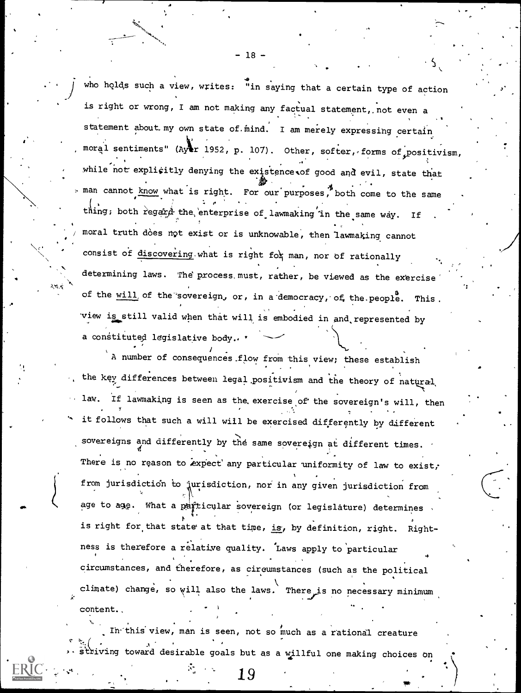who holds such a view, writes: "in saying that a certain type of action is right or wrong, I am not making any factual statement,, not even a statement about my own state of mind. I am merely expressing certain moral sentiments" (Ayar 1952, p. 107). Other, softer, forms of positivism, while not explicitly denying the existence of good and evil, state that . man cannot know what is right. For our purposes, both come to the same thing; both regard the enterprise of lawmaking in the same way. If . moral truth does not exist or is unknowable, then lawmaking cannot  $\sqrt{a}$   $\frac{1}{2}$   $\frac{1}{2}$   $\frac{1}{2}$   $\frac{1}{2}$   $\frac{1}{2}$   $\frac{1}{2}$   $\frac{1}{2}$   $\frac{1}{2}$   $\frac{1}{2}$   $\frac{1}{2}$   $\frac{1}{2}$   $\frac{1}{2}$   $\frac{1}{2}$   $\frac{1}{2}$   $\frac{1}{2}$   $\frac{1}{2}$   $\frac{1}{2}$   $\frac{1}{2}$   $\frac{1}{2}$   $\frac{1}{2}$   $\frac{1}{2}$   $\frac$ consist of discovering what is right for man, nor of rationally ... determining laws. The process must, rather, be viewed as the exercise of the will of the sovereign, or, in a democracy, of the people. This. view is still valid when that will is embodied in and represented by a constituted legislative body..

> A number of consequences flow from this view; these establish the key differences between legal positivism and the theory of natural law. If lawmaking is seen as the exercise of the sovereign's will, then it follows that such a will will be exercised differently by different sovereigns and differently by the same sovereign at different times. There is no reason to expect any particular uniformity of law to exist, from jurisdictidn to jurisdiction, nor in any given jurisdiction from age to age. What a particular sovereign (or legislature) determines is right for that state at that time, is, by definition, right. Rightness is therefore a relative quality. 'Laws apply to particular 4 - Jan 19 circumstances, and therefore, as circumstances (such as the political climate) change, so will also the laws. There is no necessary minimum content..

Ih-'this view, man is seen, not so much as a rational creature striving toward desirable goals but as a willful one making choices on

19

-18-

 $\sim$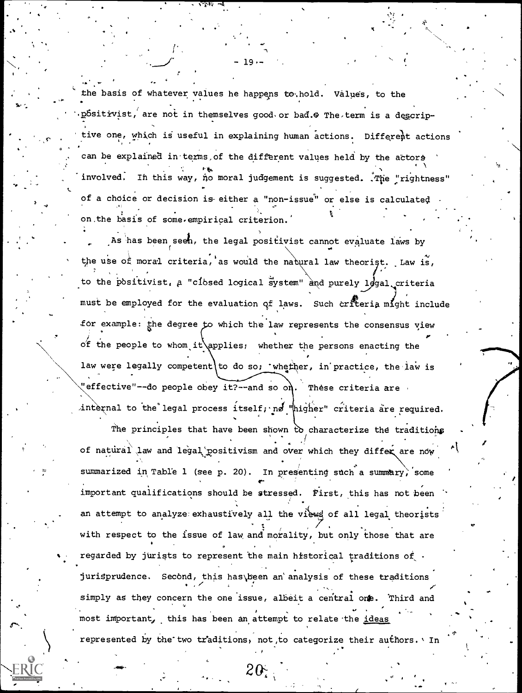the basis of whatever values he happens to hold. Values, to the pósitivist, are not in themselves good or bad. The term is a descriptive one, which is useful in explaining human actions. Different actions can be explained in terms of the different values held by the actors involved. In this way, no moral judgement is suggested. . The "rightness" of a choice or decision is either a "non-issue" or else is calculated on the basis of some empirical criterion.

As has been seen, the legal positivist cannot evaluate laws by the use of moral criteria, as would the natural law theorist. Law is, to the positivist, a "closed logical system" and purely 1ggal criteria must be employed for the evaluation of laws. Such criteria might include for example: the degree to which the law represents the consensus view of the people to whom it applies; whether the persons enacting the law were legally competent to do so; 'whether, in practice, the law is "effective"--do people obey it?--and so on. These criteria are internal to the legal process itself; no "higher" criteria are required.

The principles that have been shown to characterize the traditions of natural law and legal positivism and over which they differ are now summarized in Table 1 (see p. 20). In presenting such a summary, some important qualifications should be stressed. First, this has not been an attempt to analyze exhaustively all the views of all legal theorists with respect to the issue of law and morality, but only those that are regarded by jurists to represent the main historical traditions of . jurisprudence. Second, this has been an analysis of these traditions simply as they concern the one issue, albeit a central one. Third and most important, this has been an attempt to relate the ideas represented by the two traditions, not to categorize their authors. In

 $20<sup>°</sup>$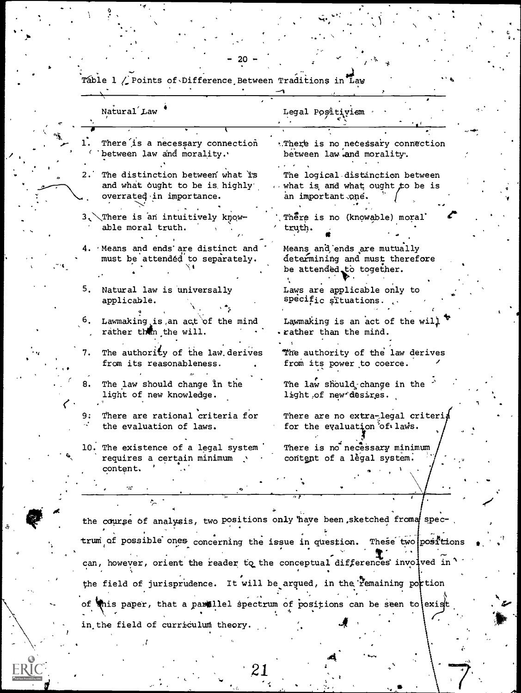|    | Natural Law                                                                                    | Legal Positiviem                                                                          |
|----|------------------------------------------------------------------------------------------------|-------------------------------------------------------------------------------------------|
|    | There is a necessary connection<br>between law and morality.                                   | .There is no necessary connection<br>between law and morality.                            |
| 2. | The distinction between what is<br>and what ought to be is highly'<br>overrated in importance. | The logical distinction between<br>what is and what ought to be is<br>an important one.   |
|    | 3. There is an intuitively know-<br>able moral truth.                                          | There is no (knowable) moral<br>truth.                                                    |
|    | 4. Means and ends are distinct and<br>must be attended to separately.                          | Means and ends are mutually<br>determining and must therefore<br>be attended to together. |
|    | 5. Natural law is universally<br>applicable.                                                   | Laws are applicable only to<br>specific situations.                                       |
| 6. | Lawmaking is an act of the mind<br>rather than the will.                                       | Lawmaking is an act of the will<br>. rather than the mind.                                |
| 7. | The authority of the law derives<br>from its reasonableness.                                   | The authority of the law derives<br>from its power to coerce.                             |
| 8. | The law should change in the<br>light of new knowledge.                                        | The law should change in the<br>light of new desires.                                     |
|    | There are rational criteria for<br>the evaluation of laws.                                     | There are no extra-legal criteria<br>for the evaluation of laws.                          |
|    | 10. The existence of a legal system<br>requires a certain minimum<br>content.                  | There is no necessary minimum<br>content of a legal system.                               |
|    | ÷.                                                                                             |                                                                                           |
|    |                                                                                                |                                                                                           |
|    | the course of analysis, two positions only have been sketched froma spec-                      |                                                                                           |
|    | trum of possible ones concerning the issue in question. These two positions                    |                                                                                           |
|    | can, however, orient the reader to the conceptual differences involved in                      |                                                                                           |
|    |                                                                                                | the field of jurisprudence. It will be argued, in the remaining portion                   |

<

Table 1 / Points of Difference Between ions in Law  $m_{\nu}$  $ab +$ 

 $\mathbf{Z}$ 

in the field of curriculum theory.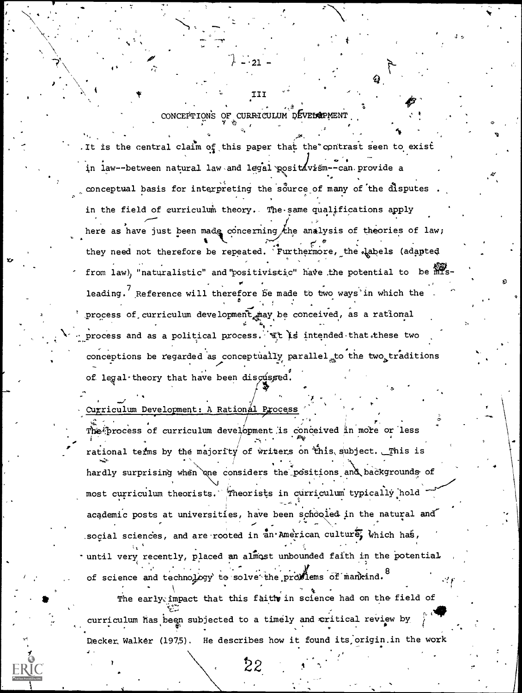# CONCEPTIONS OF CURRICULUM DEVELOPMENT

III

It is the central claim of this paper that the contrast seen to exist in law--between natural law and legal positivism--can provide a conceptual basis for interpreting the source of many of the disputes in the field of curriculum theory. The same qualifications apply here as have just been made concerning the analysis of theories of law; they need not therefore be repeated. Furthermore, the labels (adapted from law), "naturalistic" and 'positivistic" have the potential to be misleading. Reference will therefore be made to two ways in which the process of curriculum development may be conceived, as a rational process and as a political process. It is intended that these two conceptions be regarded as conceptually parallel to the two traditions of legal theory that have been discussed.

Curriculum Development: A Rational Process

The process of curriculum development is conceived in more or less rational terms by the majority of writers on this subject. This is hardly surprising when one considers the positions and backgrounds of most curriculum theorists. Theorists in curriculum typically hold academic posts at universities, have been schooled in the natural and social sciences, and are rooted in an American culture, which has, until very recently, placed an almost unbounded faith in the potential of science and technology to solve the proviems of mankind. 8 The early impact that this faith in science had on the field of

curriculum has been subjected to a timely and critical review by Decker Walker (1975). He describes how it found its origin in the work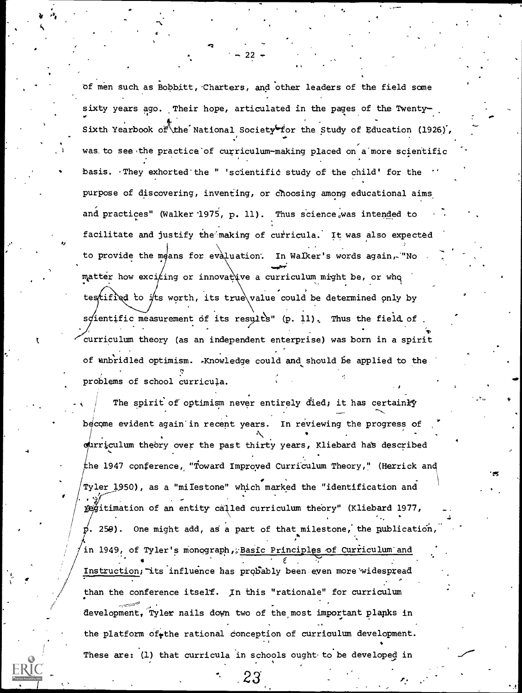of men such as Bobbitt, Charters, and other leaders of the field some sixty years ago. Their hope, articulated in the pages of the Twentyan an an an a 's contract of the state of the state of the state of the state of the state of the state of the state of the state of the state of the state of the state of the state of the state of the state of the state of the state of Sixth Yearbook of the National Society for the Study of Education (1926), was. to see the practice of curriculum-making placed on a more scientific basis. They exhorted the " 'scientific study of the child' for the purpose of discovering, inventing, or Choosing among educational aims and practices" (Walker 1975, p. 11). Thus science was intended to facilitate and justify the making of curricula. It was also expected to provide the means for evaluation. In Walker's words again,. "No matter how exciting or innovative a curriculum might be, or who testified to its worth, its true value could be determined only by scientific measurement of its results" (p. 11). Thus the field of curriculum theory (as an independent enterprise) was born in a spirit of unbridled optimism. .Knowledge could and should be applied to the ,.., problems of school curricula.

 $-22$  -  $1$ 

A

,

 $\mathbf{r}^{\prime}$  and  $\mathbf{r}^{\prime}$ 

. .  $/$  The spirit of optimism never entirely died; it has certainly , . become evident again in recent years. In reviewing the progress of ourriculum theory over the past thirty years, Kliebard has described he 1947 conference; "Toward Improyed Curriculum Theory," (Herrick and Tyler 1950), as a "milestone" which marked the "identification and . 10 fegitimation of an entity called curriculum theory" (Kliebard 1977, ,  $\vec{p}$ . 259). One might add, as a part of that milestone, the publication Andrew Control . .-  $/$  in 1949, of Tyler's monograph, <u>Basic Principles of Curriculum and</u> Instruction; its influence has probably been even more widespread than the conference itself. In this "rationale" for curriculum development, Tyler nails down two of the most important planks in the platform of the rational conception of curriculum development. These are: (1) that curricula in schools ought to be developed in

 $23<sup>1</sup>$ 

.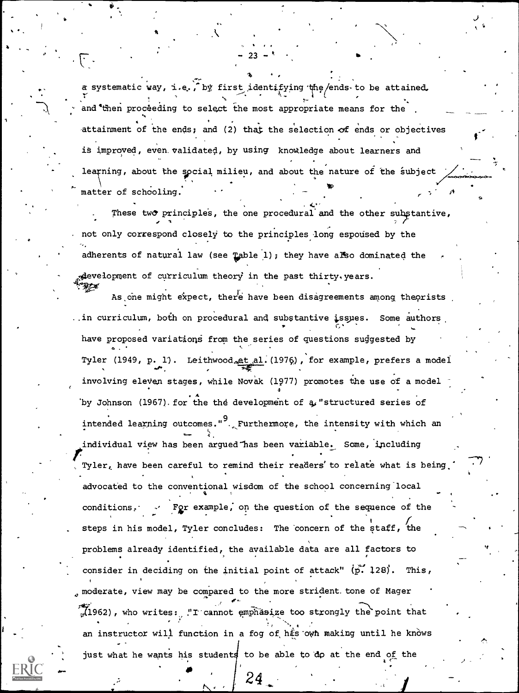a systematic way, i.e., by first identifying the ends to be attained, and then proceeding to select the most appropriate means for the .  $\qquad \qquad \blacksquare$ attainment of the ends; and (2) that the selection of ends or objectives is improved, even validated, by using knowledge about learners and learning, about the social milieu, and about the nature of the subject  $\nearrow$  . **Victorial Contract** matter of schooling. r di ca

.  $-23 \cdot$ 

These two principles, the one procedural and the other substantive, . not only correspond closely to the principles long espoused by the adherents of natural law (see Table 1); they have also dominated the ngevelopment of curriculum theory in the past thirty. years.

As one might expect, there have been disagreements among theorists, ..in curriculum, both on procedural and substantive isspes. Some authors.  $\mathcal{C}^{\mathcal{A}}$  and  $\mathcal{C}^{\mathcal{A}}$ have proposed variations from the series of questions suggested by e terms and the contract of the contract of the contract of the contract of the contract of the contract of the Tyler (1949, p. 1). Leithwood<sub>e</sub>et al. (1976), for example, prefers a model involving eleven stages, while Novak (1977) promotes the use of a model 4 by Johnson (1967). for the the development of  $a<sub>s</sub>$  "structured series of intended learning outcomes." $9.$  Furthermore, the intensity with which an individual view has been argued "has been variable. Some, including Tyler, have been careful to remind their readers' to relate what is being. advocated to the conventional wisdom of the school concerning local conditions,. Fgr example; on the question of the sequence of the steps in his model, Tyler concludes: The concern of the staff, the problems already identified, the available data are all factors to consider in deciding on the initial point of attack"  $(\vec{p} \cdot 128)$ . This,  $\alpha$  moderate, view may be compared to the more strident tone of Mager  $(1962)$ , who writes: "I cannot emphasize too strongly the point that an instructor will function in a fog of hts own making until he knows just what he wants his students to be able to do at the end of the

> $\bullet$   $\bullet$   $\bullet$   $\bullet$  $24$   $\frac{1}{2}$   $\frac{1}{2}$   $\frac{1}{2}$

フェアード

9

 $\Delta$ .  $\pm$ 

41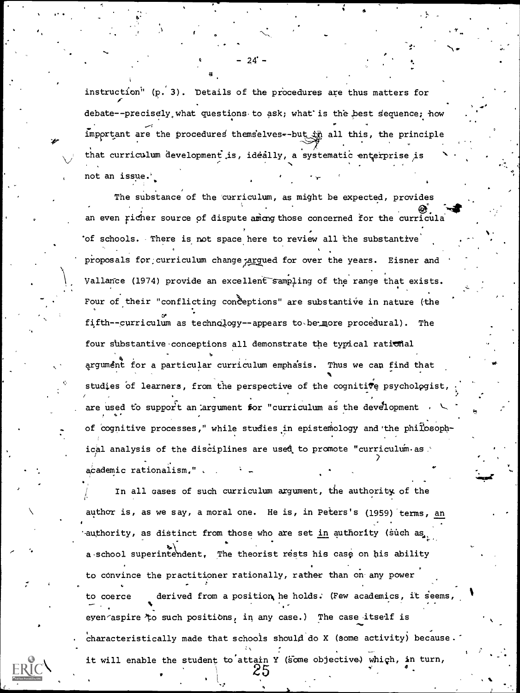instruction" (p. 3). Details of the procedures are thus matters for debate--precisely what questions to ask; what is the best sequence; how important are the procedures themselves--but in all this, the principle that curriculum development is, ideally, a systematic enterprise is not an issue.'

- 24° –

The substance of the curriculum, as might be expected, provides an even richer source of dispute ammor those concerned for the curricula of schools. There is not space here to review all the substantive proposals for curriculum change argued for over the years. Eisner and Vallance (1974) provide an excellent sampling of the range that exists. Four of their "conflicting conceptions" are substantive in nature (the fifth--curriculum as technology--appears to be more procedural). The four substantive conceptions all demonstrate the typical rational argument for a particular curriculum emphasis. Thus we can find that studies of learners, from the perspective of the cognitive psychologist are used to support an argument for "curriculum as the development of cognitive processes," while studies in epistemology and the philosophical analysis of the disciplines are used to promote "curriculum as academic rationalism.".

In all cases of such curriculum argument, the authority of the author is, as we say, a moral one. He is, in Peters's (1959) terms, an authority, as distinct from those who are set in authority (such as a school superintendent. The theorist rests his case on his ability to convince the practitioner rationally, rather than on any power derived from a position he holds. (Few academics, it seems, to coerce eyen aspire to such positions, in any case.) The case itself is characteristically made that schools should do X (some activity) because. it will enable the student to attain Y (some objective) which, in turn,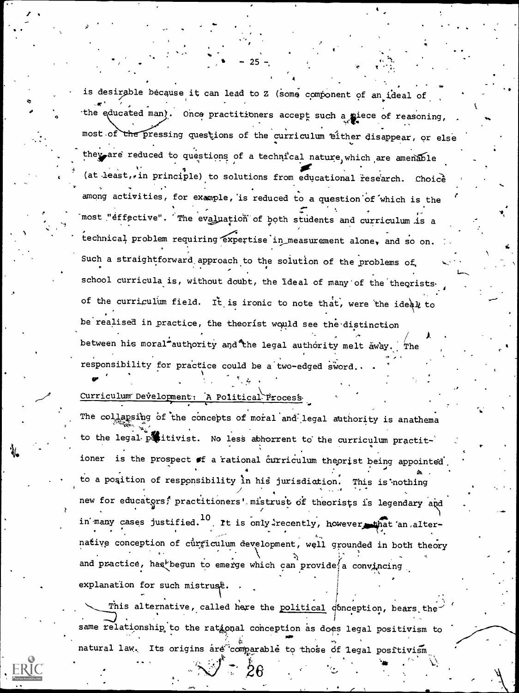is desirable because it can lead to Z (some component of an ideal of the educated man). Once practitioners accept such a piece of reasoning, most of the pressing questions of the curriculum either disappear, or else they are reduced to questions of a technical nature which are amenable (at least, in principle) to solutions from educational research. Choice among activities, for example, is reduced to a question of which is the most "effective". The evaluation of both students and curriculum is a technical problem requiring expertise in measurement alone, and so on. Such a straightforward approach to the solution of the problems of school curricula is, without doubt, the ideal of many of the theorists. of the curriculum field. It is ironic to note that, were the ideal to be realised in practice, the theorist would see the distinction between his moral authority and the legal authority melt away. The responsibility for practice could be a two-edged sword.

## Curriculum Development: A Political Process

The collapsing of the concepts of moral and legal authority is anathema to the legal positivist. No less abhorrent to the curriculum practitioner is the prospect of a rational curriculum theorist being appointed to a position of responsibility in his jurisdiction. This is nothing new for educators, practitioners' mistrust of theorists is legendary and in many cases justified.<sup>10</sup> It is only recently, however that an alternative conception of curriculum development, well grounded in both theory and practice, has begun to emerge which can provide a convincing explanation for such mistruse.

This alternative, called here the political donception, bears the same relationship to the rational conception as does legal positivism to natural law. Its origins are comparable to those of legal positivism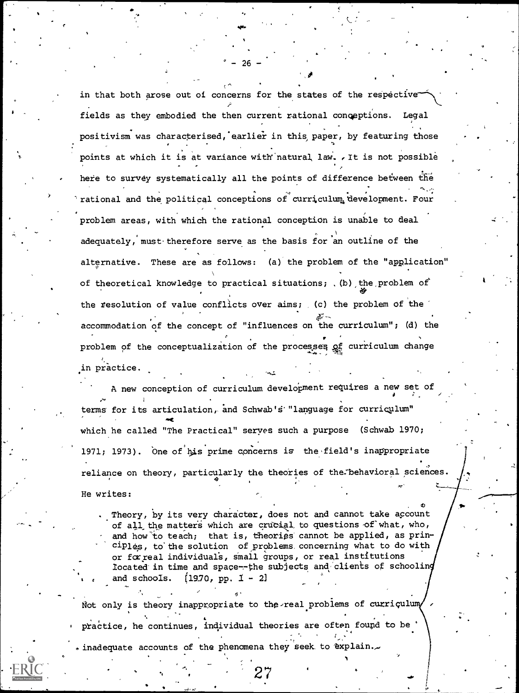in that both arose out of concerns for the states of the respective fields as they embodied the then current rational conceptions. Legal positivism was characterised, earlier in this paper, by featuring those points at which it is at variance with natural law. . It is not possible here to survey systematically all the points of difference between the rational and the political conceptions of curriculum development. Four problem areas, with which the rational conception is unable to deal adequately, must-therefore serve as the basis for 'an outline of the alternative. These are as follows: (a) the problem of the "application" of theoretical knowledge to practical situations; , (b) the problem of the resolution of value conflicts over aims; (c) the problem of the accommodation of the concept of "influences on the curriculum"; (d) the problem of the conceptualization of the processes of curriculum change in practice.

qt.

 $-26 -$ 

A new conception of curriculum development requires a new set of terms for its articulation, and Schwab'S'"language for curriculum"  $\sim$ which he called "The Practical" serves such a purpose (Schwab 1970; 1971; 1973). One of his prime concerns is the field's inappropriate reliance on theory, particularly the theories of the:behavioral sciences. He writes:

Theory, by its very character, does not and cannot take account of all the matters which are crucial to questions of what, who, and how to teach; that is, theories cannot be applied, as prin- $\texttt{right}$ , to the solution of problems concerning what to do with or fcrreal individuals, small groups, or real institutions located in time and space--the subjects and clients of schooling and schools.  $[19.70, pp. 1 - 2]$ 

. The contract of the contract of the contract of the contract of the contract of the contract of the contract of the contract of the contract of the contract of the contract of the contract of the contract of the contrac

, o

.,

Not only is theory inappropriate to the real problems of curriculumy practice, he continues, individual theories are often found to be <sup>I</sup> " . -. .inadequate accounts of the phenomena they seek to  $\texttt{explain.} \sim$ 

27 .... . .

.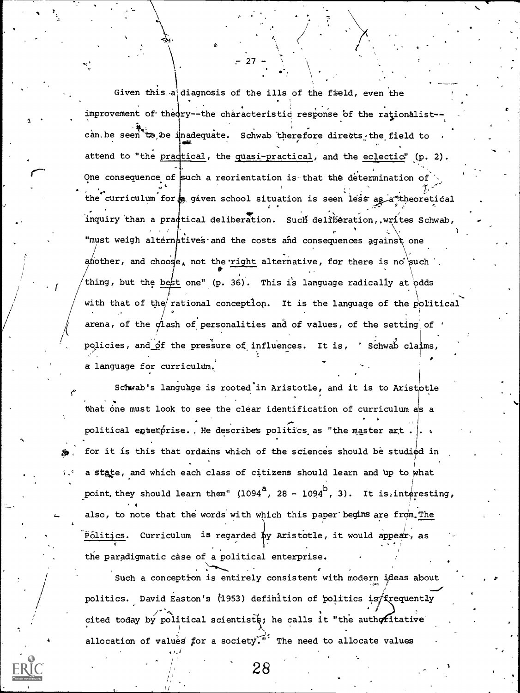Given this a diagnosis of the ills of the field, even the improvement of theory--the characteristic response of the rationalist-can. be seen to be inadequate. Schwab therefore directs the field to 404 C attend to "the pradtical, the quasi-practical, and the eclectic" (p. 2). One consequence of such a reorientation is that the determination of  $\cdot$ . ., and the set of  $\mathcal{A}$ the curriculum for a given school situation is seen less as a theoretical . r ,' ... inquiry than a practical deliberation. Such deliberation, writes Schwab, "must weigh alternatives and the costs and consequences against one another, and choose, not the right alternative, for there is no such . **II** and the second contract of the second contract of the second contract of the second contract of the second contract of the second contract of the second contract of the second contract of the second contract of the se thing, but the best one" (p. 36). This is language radically at odds with that of the rational conception. It is the language of the political arena, of the  $\sigma$ lash of personalities and of values, of the setting of ' policies, and Of the pressure of influences. It is, 'Schwab claims, a language for curricultim. o

 $-27$ 

 $\bullet$ .  $\bullet$ 

 $\frac{1}{2}$ 

 $\mathbf{1}$   $\mathbf{1}$ 

Schwab's language is rooted in Aristotle, and it is to Aristotle that one must look to see the clear identification of curriculum as a . political enterprise. . He describes politics as "the master  $arct$ .  $\frac{1}{16}$ . for it is this that ordains which of the sciences should be studied in a state, and which each class of citizens should learn and up to what point, they should learn them" (1094<sup>a</sup>, 28 - 1094<sup>b</sup>, 3). It is, interesting, also, to note that the words with which this paper begins are from. The Politics. Curriculum is regarded by Aristotle, it would appear, as the paradigmatic case of a political enterprise.

o Such a conception is entirely consistent with modern ideas about  $\overline{\phantom{a}}$ politics. David Easton's (1953) definition of politics is frequently , the contract of the contract of  $\mathcal{A}$  , the contract of the contract of  $\mathcal{A}$  , the contract of the contract of the contract of the contract of the contract of the contract of the contract of the contract of the c cited today by political scientists; he calls it "the authoritative allocation of values for a society. The need to allocate values

28

 $11 - 11$ /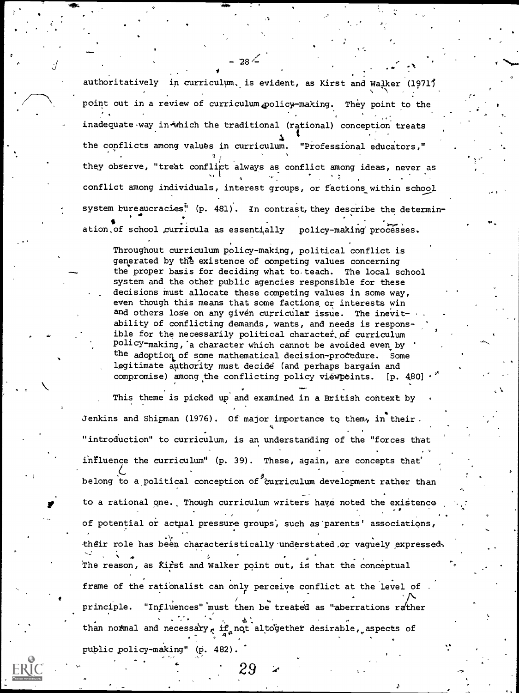authoritatively in curriculum, is evident, as Kirst and Walker (1971) point out in a review of curriculum policy-making. They point to the inadequate way in which the traditional (rational) conception treats the conflicts among values in curriculum. "Professional educators," they observe, "treat conflict always as conflict among ideas, never as conflict among individuals, interest groups, or factions within school system bureaucracies" (p. 481) . In contrast, they describe the determin- $\mathbf{e} = \begin{pmatrix} \mathbf{e} & \mathbf{e} & \mathbf{e} \\ \mathbf{e} & \mathbf{e} & \mathbf{e} \end{pmatrix}$  $\sim$ ation.of school curricula as essentially policy-making processes.

't beste beste beste beste beste beste beste beste beste beste beste beste beste beste beste beste beste beste<br>De beste beste beste beste beste beste beste beste beste beste beste beste beste beste beste beste beste beste

ti

 $-28<sup>2</sup>$ 

Throughout curriculum policy-making, political conflict is generated by the existence of competing values concerning the proper basis for deciding what to. teach. The local school system and the other public agencies responsible for these decisions must allocate these competing values in some way, even though this means that some factions or interests win and others lose on any given curricular issue. The inevitability of conflicting demands, wants, and needs is responsible for the necessarily political character of curriculum policy -making,'a character which cannot be avoided even by the adoption of some mathematical decision-procedure. Some legitimate authority must decide (and perhaps bargain and compromise) among the conflicting policy viewpoints. [p. 4,80]

 $\sim$ 

F to a rational one. Though curriculum writers have noted the existence This theme is picked up and examined in a British context by Jenkins and Shipman (1976). Of major importance to them, in their. "introduction" to curriculum, is an understanding of the "forces that influence the curriculum" (p. 39). These, again, are concepts that' belong to a political conception of  $\partial^2$ curriculum development rather than of potential or actual pressure groups, such as'parents' associations, their role has been characteristically-understated,or vaguely expressed. The reason, as Kirst and Walker point out, is that the conceptual  $\sim$ frame of the rationalist can only perceive conflict at the level of .  $\prime$  -  $\prime$ principle. "Influences" must then be treated as "aberrations rather than normal and necessary, if not altogether desirable, aspects of public policy-making" (p. 482).

 $29$  is a set of  $\sim$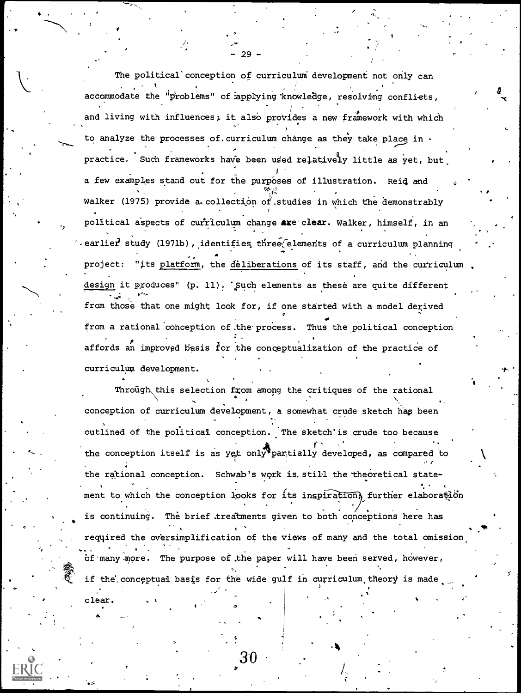The political conception of curriculum development not only can accommodate the "problems" of applying knowledge, resolving confliets, and living with influences; it also provides a new framework with which to analyze the processes of. curriculum change as they take place in  $\cdot$ practice. Such frameworks have been used relatively little as yet, but a few examples stand out for the purposes of illustration. Reid and Walker (1975) provide a collection of studies in which the demonstrably political aspects of curriculum change are clear. Walker, himself, in an . earlier study (1971b), identifies three elements of a curriculum planning project: "its platform, the deliberations of its staff, and the curriculum design it produces" (p. 11). 'Such elements as these are quite different from those that one might look for, if one started with a model derived . , . , from a rational conception of,the.process. Thus the political conception affords an improved basis for the conceptualization of the practice of curriculum development.

- 29 -

 $\mathcal{L}_{\text{max}}$ 

-r

**\*** \* \* \*

 $0 \leq t \leq 1$ 

clear.

er

Through this selection from among the critiques of the rational conception of curriculum development, a somewhat crude sketch hap been outlined of the political conception. The sketch'is crude too because the conception itself is as yet only partially developed, as compared to the rational conception. Schwab's work is. still the theoretical state- . ment to which the conception looks for its inspiration, further elaboration is continuing. The brief treatments given to both conceptions here has required the oversimplification of the views of many and the total omission . of many more. The purpose of the paper will have been served, however, if the conceptual basis for the wide gulf in curriculum theory is made

 $30$  and  $\sim$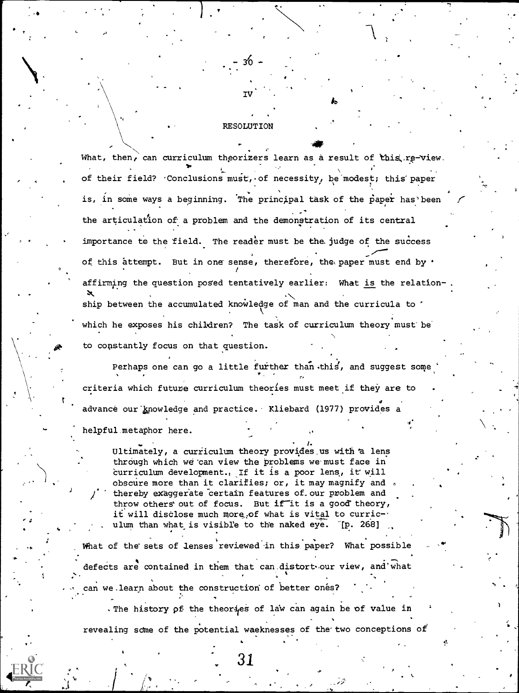What, then, can curriculum theorizers learn as a result of this re-view. of their field? Conclusions  $mustr.$  of necessity, be modest; this paper is, in some ways a beginning. The principal task of the paper has been the articulation of a problem and the demonstration of its central importance to the field. The reader must be the judge of the success of this attempt. But in one sense, therefore, the paper must end by  $\cdot$ affirming the question posed tentatively earlier: What is the relation- $\mathbf{x}$  , we have the set of  $\mathbf{x}$ ship between the accumulated knowledge of man and the curricula to ' which he exposes his children? The task of curriculum theory must be to constantly focus on that question.

IV'

40r

**RESOLUTION** 

30

Perhaps one can go a little further than this, and suggest some criteria which future curriculum theories must meet if they are to advance our knowledge and practice. Kliebard (1977) provides a

helpful, metaphor here.

Ultimately, a curriculum theory provides us with a lens through which we can view the problems we must face in curriculum development., If it is a poor lens, it will obscure more than it clarifies; or, it may magnify and , thereby exaggerate certain features of our problem and throw others' out of focus. But if it is a good theory, it will disclose much more, of what is vital to curriculum than what is visible to the naked eye. [p. 268]

What of the sets of lenses reviewed in this paper? What possible defects are contained in them that can distort our view, and what can we learn about the construction of better ones?

The history of the theories of law can again be of value in revealing some of the potential waeknesses of the two conceptions of

. Although the contract of  $\mathcal{A}$ 

31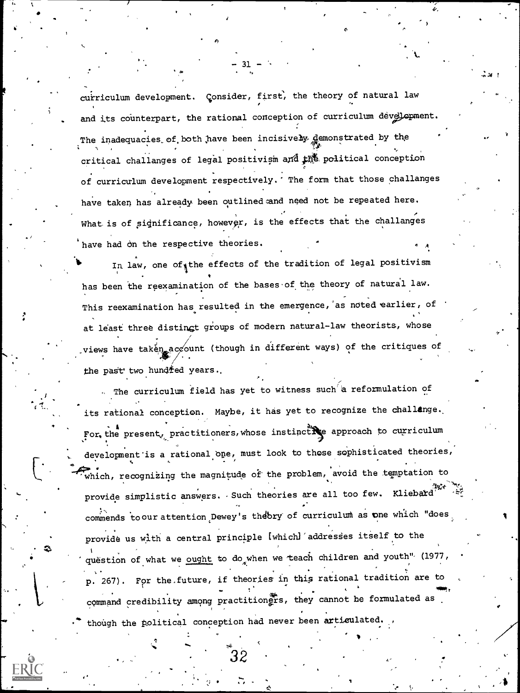curriculum development. Consider, first, the theory of natural law and its counterpart, the rational conception of curriculum development. The inadequacies of both have been incisively demonstrated by the critical challanges of legal positivism and the political conception of curriculum development respectively. The form that those challanges have taken has already been outlined and need not be repeated here. What is of significance, however, is the effects that the challanges have had on the respective theories.

In law, one of the effects of the tradition of legal positivism has been the reexamination of the bases of the theory of natural law. This reexamination has resulted in the emergence, as noted earlier, of at least three distingt groups of modern natural-law theorists, whose views have taken account (though in different ways) of the critiques of the past two hundred years.

The curriculum field has yet to witness such a reformulation of its rational conception. Maybe, it has yet to recognize the challange. For the present, practitioners, whose instinctive approach to curriculum development is a rational one, must look to those sophisticated theories, which, recognizing the magnitude of the problem, avoid the temptation to provide simplistic answers. Such theories are all too few. Kliebard<sup>13</sup> commends to our attention Dewey's theory of curriculum as one which "does provide us with a central principle [which] addresses itself to the question of what we ought to do when we teach children and youth" (1977, p. 267). For the future, if theories in this rational tradition are to command credibility among practition fra , they cannot be formulated as though the political conception had never been articulated.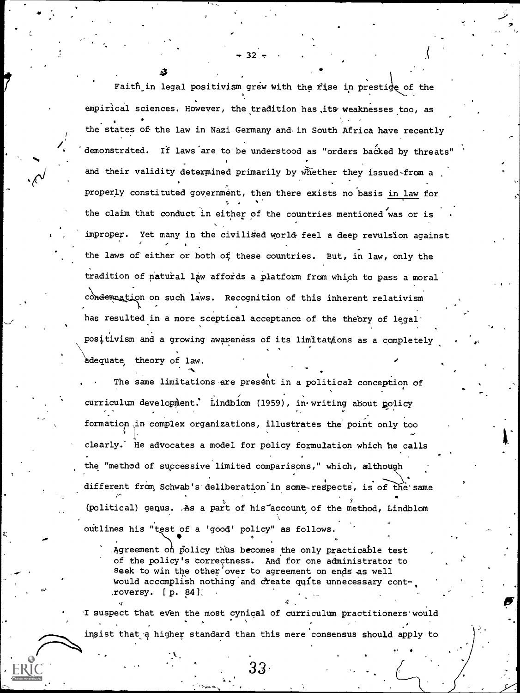Faith in legal positivism grew with the rise in prestice of the empirical sciences. However, the tradition has its weaknesses too, as the states of the law in Nazi Germany and in South Africa have recently demonstrated. If laws are to be understood as "orders backed by threats" and their validity determined primarily by whether they issued-from a properly constituted government, then there exists no basis in law for the claim that conduct in either of the countries mentioned was or is improper. Yet many in the civilised world feel a deep revulsion against , the laws of either or both of these countries. But, in law, only the tradition of natural law affords a platform from which to pass a moral condemnation on such laws. Recognition of this inherent relativism has resulted in a more sceptical acceptance of the theory of legalpositivism and a growing awareness of its limitations as a completely adequate theory of law.

O

32

The same limitations are present in a political conception of curriculum development. Lindblom (1959), in writing about policy formation .in complex organizations, illustrates the point only too  $\sim$ clearly. He advocates a model for policy formulation which he calls the "method of successive limited comparisons," which, although different from Schwab's deliberation in some-respects, is of the same (political) genus. .As a part of his-account of the method, Lindblom outlines his "test of a 'good' policy" as follows.

Agreement on policy thus becomes the only practicable test of the policy's correctness. And for one administrator to seek to win the other over to agreement on ends as well would accomplish nothing and create quite unnecessary cont-.roversy.  $[p. 84]$ 

4 ,

I suspect that even the most cynical of curriculum practitioners would . , insist that a higher standard than this mere consensus should apply to

33,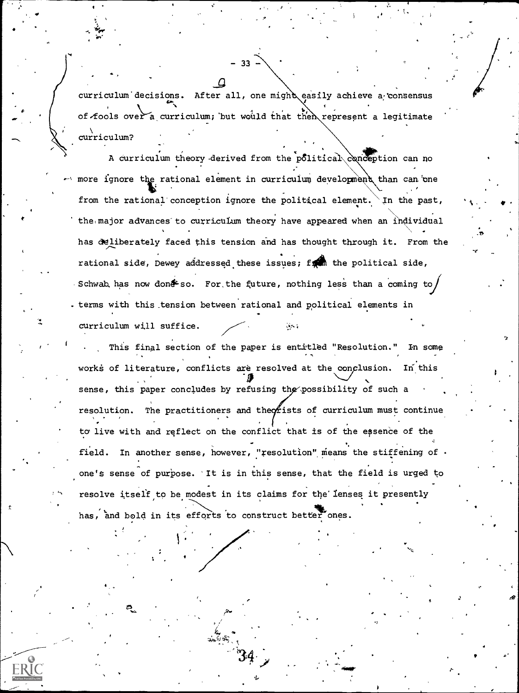curriculum decisions. After all, one might easily achieve a consensus of fools over a curriculum; but would that then represent a legitimate curriculum?

33

A curriculum theory derived from the political conception can no where ignore the rational element in curriculum development than can one from the rational conception ignore the political element. In the past, the major advances to curriculum theory have appeared when an individual has deliberately faced this tension and has thought through it. From the rational side, Dewey addressed these issues; for the political side, Schwab has now don&so. For the future, nothing less than a coming to . terms with this tension between rational and political elements in curriculum will suffice. lin i

This final section of the paper is entitled "Resolution." In some works of literature, conflicts are resolved at the conclusion. In this sense, this paper concludes by refusing the possibility of such a The practitioners and theorists of curriculum must continue resolution. to live with and reflect on the conflict that is of the essence of the field. In another sense, however, "resolution" means the stiffening of . one's sense of purpose. 'It is in this sense, that the field is urged to resolve itself to be modest in its claims for the lenses it presently has, and bold in its efforts to construct better ones.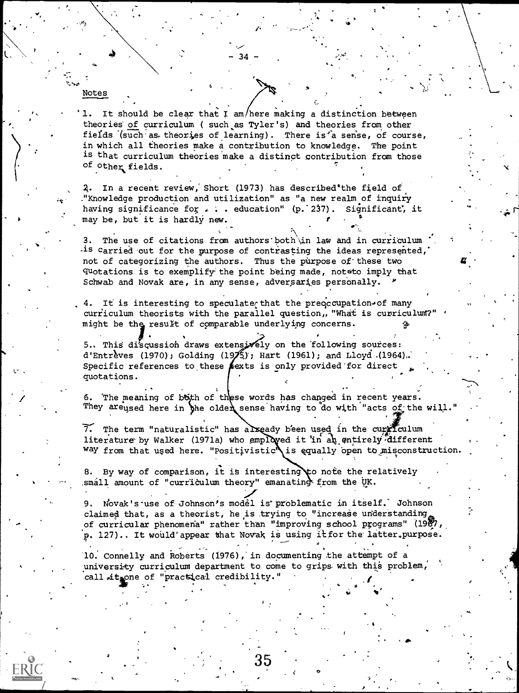It should be clear that  $I$  am/here making a distinction between theories of curriculum ( such as Tyler's) and theories from other fields (such as theories of learning). There is'a sense, of course, in which all theories make a contribution to knowledge. The point is that curriculum theories make a distinct contribution from those of other fields.

 $34$ 

ao,

Notes

o °

.

Z. In a recent review; Short (1973) has described'the field of ."Knowledge production and utilization" as "a new realm of inquiry having significance for  $\ldots$  education" (p. 237). Significant, it may be, but it is hardly new. the contract of the contract of the contract of the contract of the contract of the contract of the contract o

3. The use of citations from authors'both\in law and in curriculum  $-$ is carried out for the purpose of contrasting the ideas represented, not of categorizing the authors. Thus the purpose of'these two quotations is to exemplify the point being made, not to imply that Schwab and Novak are, in any sense, adversaries personally.

 $\mathbf{z}$ 

 $\bullet$  -  $\bullet$  -  $\bullet$  -  $\bullet$  -  $\bullet$  -  $\bullet$  -  $\bullet$  -  $\bullet$  -  $\bullet$  -  $\bullet$  -  $\bullet$  -  $\bullet$  -  $\bullet$  -  $\bullet$  -  $\bullet$  -  $\bullet$  -  $\bullet$  -  $\bullet$  -  $\bullet$  -  $\bullet$  -  $\bullet$  -  $\bullet$  -  $\bullet$  -  $\bullet$  -  $\bullet$  -  $\bullet$  -  $\bullet$  -  $\bullet$  -  $\bullet$  -  $\bullet$  -  $\bullet$  -  $\bullet$ 

 $\boldsymbol{E}$  is a set of  $\boldsymbol{E}$ 

4. It is interesting to speculate that the preoccupation of many curriculum theorists with the parallel question, "What is curriculum?" might be the result of comparable underlying concerns.

 $\bullet$  and  $\bullet$ 5.. This discussion draws extensizely on the following sources: d'Entrèves (1970); Golding (19 $\frac{1}{2}$ ); Hart (1961); and Lloyd. (1964). Specific references to these exts is only provided for direct quotations.

6. The meaning of both of these words has changed in recent years. They are used here in the older sense having to do with "acts of the will."

 $\widetilde{7}$ . The term "naturalistic" has alxeady been used in the curriculum literature by Walker (1971a) who employed it in an entirely different  $\sim$ Way from that used here. "Positivistic $\bigwedge$ is equally open to misconstruction.

By way of comparison, it is interesting  $\uparrow$  o note the relatively small amount of "curriculum theory" emanating from the UK.

9. Novak's use of Johnson's model is problematic in itself. Johnson claimed that, as a theorist, he is trying to "increase understanding, of curricular phenomena" rather than "improving school programs" (1987) p. 127).. It would'appear that Novak is using itfor the' latter,purpose.

the attempt of a set of the Connelly and Roberts (1976), in documenting the attempt of a university curriculum department to come to grips with this problem, call sit one of "practical credibility."

35

a

, for the contract of the contract  $f$  , and  $f$  , and  $f$  , and  $f$  , and  $f$  , and  $f$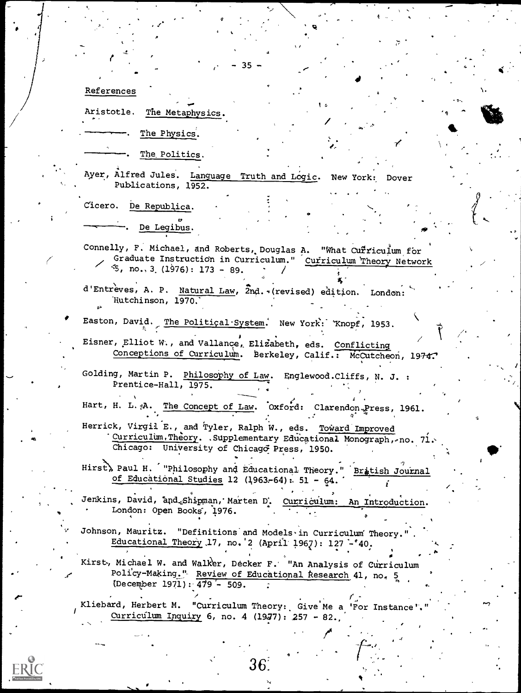References

Aristotle. The Metaphysics.

The Physics.

The Politics.

Ayer, Alfred Jules. Language Truth and Logic. New York: Dover Publications, 1952.

Cicero. De Republica.

De Legibus.

Connelly, F. Michael, and Roberts, Douglas A. "What Curriculum for Graduate Instruction in Curriculum." Curriculum Theory Network  $\frac{1}{3}$ , no., 3. (1976): 173 - 89.

d'Entrèves, A. P. Natural Law, 2nd. (revised) edition. London: Hutchinson, 1970.

Easton, David. The Political System. New York: Knopf, 1953. Eisner, Elliot W., and Vallance, Elizabeth, eds. Conflicting

Conceptions of Curriculum. Berkeley, Calif.: McCutcheon, 1974.

Golding, Martin P. Philosophy of Law. Englewood. Cliffs, N. J. : Prentice-Hall, 1975.

Hart, H. L. A. The Concept of Law. Oxford: Clarendon Press, 1961.

Herrick, Virgil E., and Tyler, Ralph W., eds. Toward Improved Curriculum. Theory. Supplementary Educational Monograph, no. 71. Chicago: University of Chicago Press, 1950.

Hirst, Paul H. '"Philosophy and Educational Theory." Bratish Journal of Educational Studies 12 (1963-64): 51 - 64.

Jenkins, David, and Shipman, Marten D. Curriculum: An Introduction. London: Open Books, 1976.

Johnson, Mauritz. "Definitions and Models in Curriculum Theory." Educational Theory 17, no. 2 (April 1967): 127 - '40.

Kirst, Michael W. and Walker, Decker F. "An Analysis of Curriculum Policy-Making." Review of Educational Research 41, no, 5 (December 1971): 479 - 509.

Kliebard, Herbert M. "Curriculum Theory: Give Me a 'For Instance'." Curriculum Inquiry 6, no. 4 (1977): 257 - 82.

36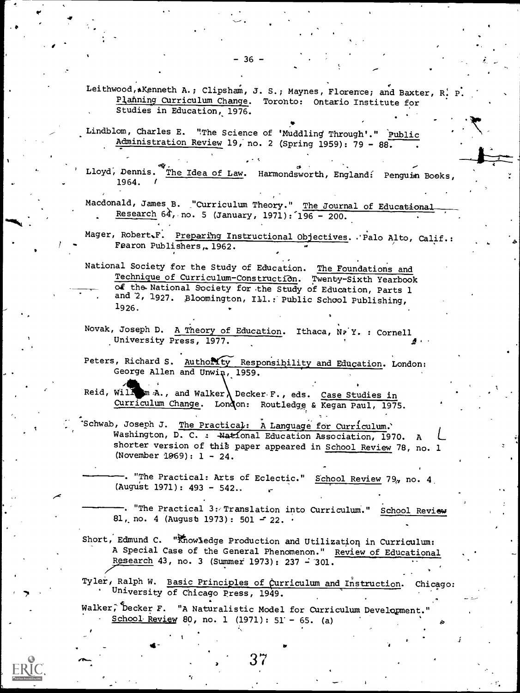Leithwood, AKenneth A.; Clipsham, J. S.; Maynes, Florence; and Baxter, R! P. Planning Curriculum Change. Toronto: Ontario Institute for Studies in Education, 1976.

Lindblom, Charles E. "The Science of 'Muddling Through'." Public Administration Review 19, no. 2 (Spring 1959): 79 - 88.

Lloyd, Dennis. The Idea of Law. Harmondsworth, England: Penguin Books, 1964.

Macdonald, James B. "Curriculum Theory." The Journal of Educational Research  $64$ , no. 5 (January, 1971): 196 - 200.

Mager, Robert.F. Preparing Instructional Objectives. Palo Alto, Calif.: Fearon Publishers, 1962.

National Society for the Study of Education. The Foundations and Technique of Curriculum-Construction. Twenty-Sixth Yearbook of the National Society for the Study of Education, Parts 1 and 2, 1927. Bloomington, Ill.: Public School Publishing,  $1926.$ 

Novak, Joseph D. A Theory of Education. Ithaca, NP Y. : Cornell University Press, 1977.

Peters, Richard S. Authority Responsibility and Education. London: George Allen and Unwin, 1959.

Reid, Willow A., and Walker Decker F., eds. Case Studies in Curriculum Change. London: Routledge & Kegan Paul, 1975.

Schwab, Joseph J. The Practical: A Language for Curriculum. Washington, D. C. : National Education Association, 1970. shorter version of this paper appeared in School Review 78, no. 1 (November 1969):  $1 - 24$ .

. "The Practical: Arts of Eclectic." School Review 79, no. 4 (August 1971): 493 - 542..

-. "The Practical 3: Translation into Curriculum." School Review 81, no. 4 (August 1973): 501 - 22.

Short, Edmund C. "Knowledge Production and Utilization in Curriculum: A Special Case of the General Phenomenon." Review of Educational Research 43, no. 3 (Summer 1973): 237 - 301.

Tyler, Ralph W. Basic Principles of Curriculum and Instruction. Chicago: University of Chicago Press, 1949.

Walker, Decker F. "A Naturalistic Model for Curriculum Development." School Review 80, no. 1 (1971):  $51' - 65$ . (a)

 $-36 -$